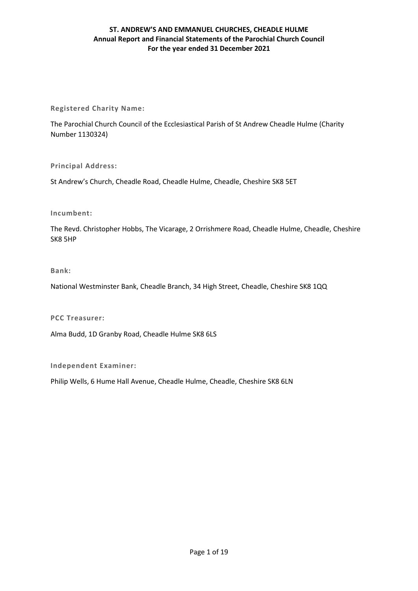**Registered Charity Name:**

The Parochial Church Council of the Ecclesiastical Parish of St Andrew Cheadle Hulme (Charity Number 1130324)

**Principal Address:**

St Andrew's Church, Cheadle Road, Cheadle Hulme, Cheadle, Cheshire SK8 5ET

## **Incumbent:**

The Revd. Christopher Hobbs, The Vicarage, 2 Orrishmere Road, Cheadle Hulme, Cheadle, Cheshire SK8 5HP

## **Bank:**

National Westminster Bank, Cheadle Branch, 34 High Street, Cheadle, Cheshire SK8 1QQ

**PCC Treasurer:**

Alma Budd, 1D Granby Road, Cheadle Hulme SK8 6LS

**Independent Examiner:**

Philip Wells, 6 Hume Hall Avenue, Cheadle Hulme, Cheadle, Cheshire SK8 6LN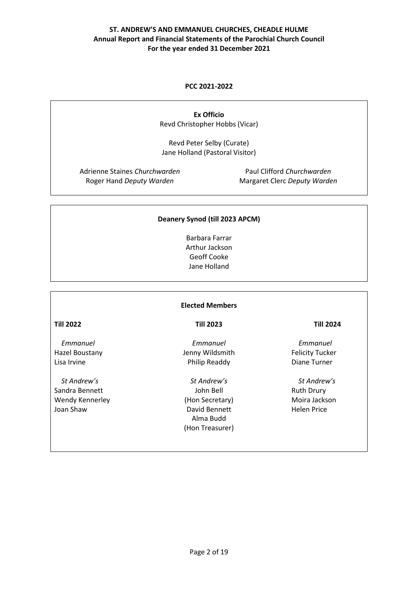## **PCC 2021-2022**

**Ex Officio** Revd Christopher Hobbs (Vicar)

Revd Peter Selby (Curate) Jane Holland (Pastoral Visitor)

Adrienne Staines *Churchwarden* Roger Hand *Deputy Warden* 

Paul Clifford *Churchwarden* Margaret Clerc *Deputy Warden*

## **Deanery Synod (till 2023 APCM)**

Barbara Farrar Arthur Jackson Geoff Cooke Jane Holland

## **Elected Members**

**Till 2022**

 *Emmanuel* Hazel Boustany Lisa Irvine

 *St Andrew's* Sandra Bennett Wendy Kennerley Joan Shaw

## **Till 2023**

*Emmanuel* Jenny Wildsmith Philip Readdy

*St Andrew's* John Bell (Hon Secretary) David Bennett Alma Budd (Hon Treasurer)

### **Till 2024**

 *Emmanuel* Felicity Tucker Diane Turner

 *St Andrew's* Ruth Drury Moira Jackson Helen Price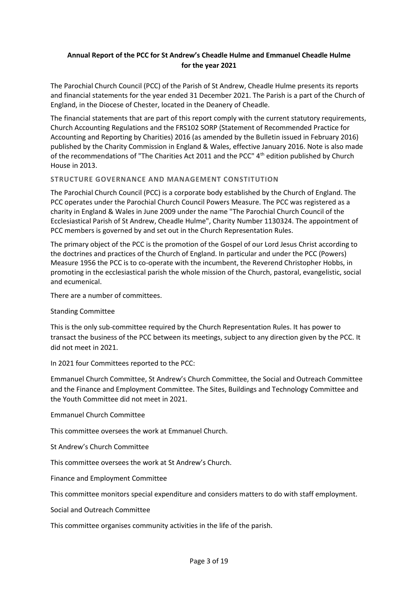# **Annual Report of the PCC for St Andrew's Cheadle Hulme and Emmanuel Cheadle Hulme for the year 2021**

The Parochial Church Council (PCC) of the Parish of St Andrew, Cheadle Hulme presents its reports and financial statements for the year ended 31 December 2021. The Parish is a part of the Church of England, in the Diocese of Chester, located in the Deanery of Cheadle.

The financial statements that are part of this report comply with the current statutory requirements, Church Accounting Regulations and the FRS102 SORP (Statement of Recommended Practice for Accounting and Reporting by Charities) 2016 (as amended by the Bulletin issued in February 2016) published by the Charity Commission in England & Wales, effective January 2016. Note is also made of the recommendations of "The Charities Act 2011 and the PCC" 4<sup>th</sup> edition published by Church House in 2013.

## **STRUCTURE GOVERNANCE AND MANAGEMENT CONSTITUTION**

The Parochial Church Council (PCC) is a corporate body established by the Church of England. The PCC operates under the Parochial Church Council Powers Measure. The PCC was registered as a charity in England & Wales in June 2009 under the name "The Parochial Church Council of the Ecclesiastical Parish of St Andrew, Cheadle Hulme", Charity Number 1130324. The appointment of PCC members is governed by and set out in the Church Representation Rules.

The primary object of the PCC is the promotion of the Gospel of our Lord Jesus Christ according to the doctrines and practices of the Church of England. In particular and under the PCC (Powers) Measure 1956 the PCC is to co-operate with the incumbent, the Reverend Christopher Hobbs, in promoting in the ecclesiastical parish the whole mission of the Church, pastoral, evangelistic, social and ecumenical.

There are a number of committees.

## Standing Committee

This is the only sub-committee required by the Church Representation Rules. It has power to transact the business of the PCC between its meetings, subject to any direction given by the PCC. It did not meet in 2021.

In 2021 four Committees reported to the PCC:

Emmanuel Church Committee, St Andrew's Church Committee, the Social and Outreach Committee and the Finance and Employment Committee. The Sites, Buildings and Technology Committee and the Youth Committee did not meet in 2021.

Emmanuel Church Committee

This committee oversees the work at Emmanuel Church.

St Andrew's Church Committee

This committee oversees the work at St Andrew's Church.

Finance and Employment Committee

This committee monitors special expenditure and considers matters to do with staff employment.

Social and Outreach Committee

This committee organises community activities in the life of the parish.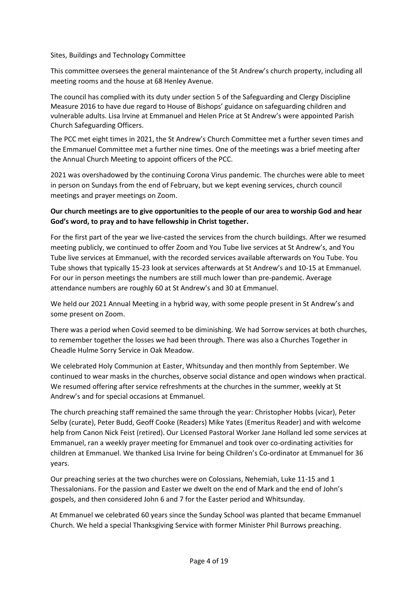## Sites, Buildings and Technology Committee

This committee oversees the general maintenance of the St Andrew's church property, including all meeting rooms and the house at 68 Henley Avenue.

The council has complied with its duty under section 5 of the Safeguarding and Clergy Discipline Measure 2016 to have due regard to House of Bishops' guidance on safeguarding children and vulnerable adults. Lisa Irvine at Emmanuel and Helen Price at St Andrew's were appointed Parish Church Safeguarding Officers.

The PCC met eight times in 2021, the St Andrew's Church Committee met a further seven times and the Emmanuel Committee met a further nine times. One of the meetings was a brief meeting after the Annual Church Meeting to appoint officers of the PCC.

2021 was overshadowed by the continuing Corona Virus pandemic. The churches were able to meet in person on Sundays from the end of February, but we kept evening services, church council meetings and prayer meetings on Zoom.

# **Our church meetings are to give opportunities to the people of our area to worship God and hear God's word, to pray and to have fellowship in Christ together.**

For the first part of the year we live-casted the services from the church buildings. After we resumed meeting publicly, we continued to offer Zoom and You Tube live services at St Andrew's, and You Tube live services at Emmanuel, with the recorded services available afterwards on You Tube. You Tube shows that typically 15-23 look at services afterwards at St Andrew's and 10-15 at Emmanuel. For our in person meetings the numbers are still much lower than pre-pandemic. Average attendance numbers are roughly 60 at St Andrew's and 30 at Emmanuel.

We held our 2021 Annual Meeting in a hybrid way, with some people present in St Andrew's and some present on Zoom.

There was a period when Covid seemed to be diminishing. We had Sorrow services at both churches, to remember together the losses we had been through. There was also a Churches Together in Cheadle Hulme Sorry Service in Oak Meadow.

We celebrated Holy Communion at Easter, Whitsunday and then monthly from September. We continued to wear masks in the churches, observe social distance and open windows when practical. We resumed offering after service refreshments at the churches in the summer, weekly at St Andrew's and for special occasions at Emmanuel.

The church preaching staff remained the same through the year: Christopher Hobbs (vicar), Peter Selby (curate), Peter Budd, Geoff Cooke (Readers) Mike Yates (Emeritus Reader) and with welcome help from Canon Nick Feist (retired). Our Licensed Pastoral Worker Jane Holland led some services at Emmanuel, ran a weekly prayer meeting for Emmanuel and took over co-ordinating activities for children at Emmanuel. We thanked Lisa Irvine for being Children's Co-ordinator at Emmanuel for 36 years.

Our preaching series at the two churches were on Colossians, Nehemiah, Luke 11-15 and 1 Thessalonians. For the passion and Easter we dwelt on the end of Mark and the end of John's gospels, and then considered John 6 and 7 for the Easter period and Whitsunday.

At Emmanuel we celebrated 60 years since the Sunday School was planted that became Emmanuel Church. We held a special Thanksgiving Service with former Minister Phil Burrows preaching.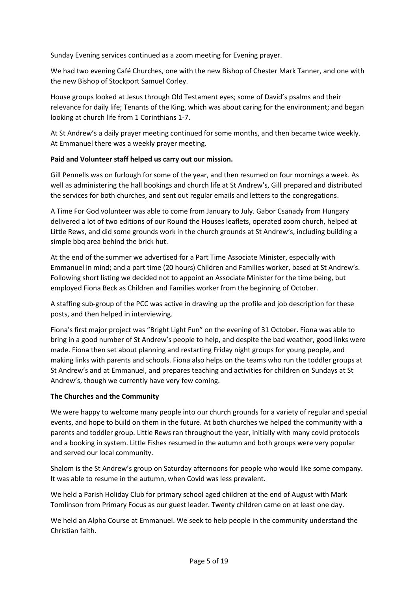Sunday Evening services continued as a zoom meeting for Evening prayer.

We had two evening Café Churches, one with the new Bishop of Chester Mark Tanner, and one with the new Bishop of Stockport Samuel Corley.

House groups looked at Jesus through Old Testament eyes; some of David's psalms and their relevance for daily life; Tenants of the King, which was about caring for the environment; and began looking at church life from 1 Corinthians 1-7.

At St Andrew's a daily prayer meeting continued for some months, and then became twice weekly. At Emmanuel there was a weekly prayer meeting.

## **Paid and Volunteer staff helped us carry out our mission.**

Gill Pennells was on furlough for some of the year, and then resumed on four mornings a week. As well as administering the hall bookings and church life at St Andrew's, Gill prepared and distributed the services for both churches, and sent out regular emails and letters to the congregations.

A Time For God volunteer was able to come from January to July. Gabor Csanady from Hungary delivered a lot of two editions of our Round the Houses leaflets, operated zoom church, helped at Little Rews, and did some grounds work in the church grounds at St Andrew's, including building a simple bbq area behind the brick hut.

At the end of the summer we advertised for a Part Time Associate Minister, especially with Emmanuel in mind; and a part time (20 hours) Children and Families worker, based at St Andrew's. Following short listing we decided not to appoint an Associate Minister for the time being, but employed Fiona Beck as Children and Families worker from the beginning of October.

A staffing sub-group of the PCC was active in drawing up the profile and job description for these posts, and then helped in interviewing.

Fiona's first major project was "Bright Light Fun" on the evening of 31 October. Fiona was able to bring in a good number of St Andrew's people to help, and despite the bad weather, good links were made. Fiona then set about planning and restarting Friday night groups for young people, and making links with parents and schools. Fiona also helps on the teams who run the toddler groups at St Andrew's and at Emmanuel, and prepares teaching and activities for children on Sundays at St Andrew's, though we currently have very few coming.

## **The Churches and the Community**

We were happy to welcome many people into our church grounds for a variety of regular and special events, and hope to build on them in the future. At both churches we helped the community with a parents and toddler group. Little Rews ran throughout the year, initially with many covid protocols and a booking in system. Little Fishes resumed in the autumn and both groups were very popular and served our local community.

Shalom is the St Andrew's group on Saturday afternoons for people who would like some company. It was able to resume in the autumn, when Covid was less prevalent.

We held a Parish Holiday Club for primary school aged children at the end of August with Mark Tomlinson from Primary Focus as our guest leader. Twenty children came on at least one day.

We held an Alpha Course at Emmanuel. We seek to help people in the community understand the Christian faith.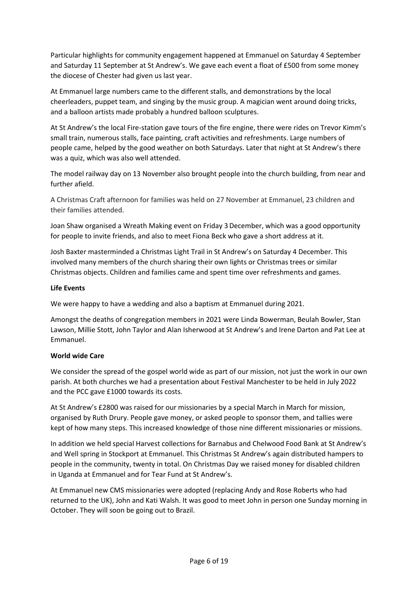Particular highlights for community engagement happened at Emmanuel on Saturday 4 September and Saturday 11 September at St Andrew's. We gave each event a float of £500 from some money the diocese of Chester had given us last year.

At Emmanuel large numbers came to the different stalls, and demonstrations by the local cheerleaders, puppet team, and singing by the music group. A magician went around doing tricks, and a balloon artists made probably a hundred balloon sculptures.

At St Andrew's the local Fire-station gave tours of the fire engine, there were rides on Trevor Kimm's small train, numerous stalls, face painting, craft activities and refreshments. Large numbers of people came, helped by the good weather on both Saturdays. Later that night at St Andrew's there was a quiz, which was also well attended.

The model railway day on 13 November also brought people into the church building, from near and further afield.

A Christmas Craft afternoon for families was held on 27 November at Emmanuel, 23 children and their families attended.

Joan Shaw organised a Wreath Making event on Friday 3 December, which was a good opportunity for people to invite friends, and also to meet Fiona Beck who gave a short address at it.

Josh Baxter masterminded a Christmas Light Trail in St Andrew's on Saturday 4 December. This involved many members of the church sharing their own lights or Christmas trees or similar Christmas objects. Children and families came and spent time over refreshments and games.

## **Life Events**

We were happy to have a wedding and also a baptism at Emmanuel during 2021.

Amongst the deaths of congregation members in 2021 were Linda Bowerman, Beulah Bowler, Stan Lawson, Millie Stott, John Taylor and Alan Isherwood at St Andrew's and Irene Darton and Pat Lee at Emmanuel.

## **World wide Care**

We consider the spread of the gospel world wide as part of our mission, not just the work in our own parish. At both churches we had a presentation about Festival Manchester to be held in July 2022 and the PCC gave £1000 towards its costs.

At St Andrew's £2800 was raised for our missionaries by a special March in March for mission, organised by Ruth Drury. People gave money, or asked people to sponsor them, and tallies were kept of how many steps. This increased knowledge of those nine different missionaries or missions.

In addition we held special Harvest collections for Barnabus and Chelwood Food Bank at St Andrew's and Well spring in Stockport at Emmanuel. This Christmas St Andrew's again distributed hampers to people in the community, twenty in total. On Christmas Day we raised money for disabled children in Uganda at Emmanuel and for Tear Fund at St Andrew's.

At Emmanuel new CMS missionaries were adopted (replacing Andy and Rose Roberts who had returned to the UK), John and Kati Walsh. It was good to meet John in person one Sunday morning in October. They will soon be going out to Brazil.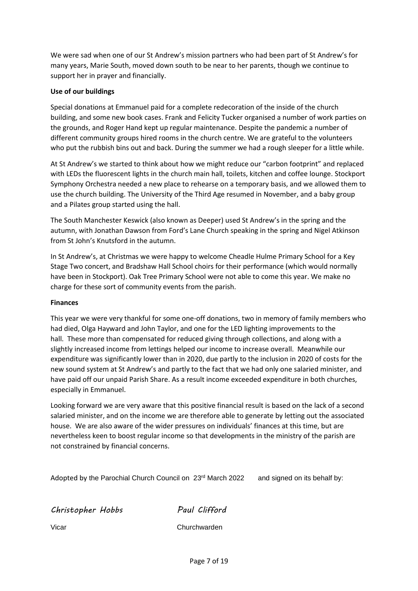We were sad when one of our St Andrew's mission partners who had been part of St Andrew's for many years, Marie South, moved down south to be near to her parents, though we continue to support her in prayer and financially.

## **Use of our buildings**

Special donations at Emmanuel paid for a complete redecoration of the inside of the church building, and some new book cases. Frank and Felicity Tucker organised a number of work parties on the grounds, and Roger Hand kept up regular maintenance. Despite the pandemic a number of different community groups hired rooms in the church centre. We are grateful to the volunteers who put the rubbish bins out and back. During the summer we had a rough sleeper for a little while.

At St Andrew's we started to think about how we might reduce our "carbon footprint" and replaced with LEDs the fluorescent lights in the church main hall, toilets, kitchen and coffee lounge. Stockport Symphony Orchestra needed a new place to rehearse on a temporary basis, and we allowed them to use the church building. The University of the Third Age resumed in November, and a baby group and a Pilates group started using the hall.

The South Manchester Keswick (also known as Deeper) used St Andrew's in the spring and the autumn, with Jonathan Dawson from Ford's Lane Church speaking in the spring and Nigel Atkinson from St John's Knutsford in the autumn.

In St Andrew's, at Christmas we were happy to welcome Cheadle Hulme Primary School for a Key Stage Two concert, and Bradshaw Hall School choirs for their performance (which would normally have been in Stockport). Oak Tree Primary School were not able to come this year. We make no charge for these sort of community events from the parish.

## **Finances**

This year we were very thankful for some one-off donations, two in memory of family members who had died, Olga Hayward and John Taylor, and one for the LED lighting improvements to the hall. These more than compensated for reduced giving through collections, and along with a slightly increased income from lettings helped our income to increase overall. Meanwhile our expenditure was significantly lower than in 2020, due partly to the inclusion in 2020 of costs for the new sound system at St Andrew's and partly to the fact that we had only one salaried minister, and have paid off our unpaid Parish Share. As a result income exceeded expenditure in both churches, especially in Emmanuel.

Looking forward we are very aware that this positive financial result is based on the lack of a second salaried minister, and on the income we are therefore able to generate by letting out the associated house. We are also aware of the wider pressures on individuals' finances at this time, but are nevertheless keen to boost regular income so that developments in the ministry of the parish are not constrained by financial concerns.

Adopted by the Parochial Church Council on 23rd March 2022 and signed on its behalf by:

*Christopher Hobbs Paul Clifford*

Vicar Churchwarden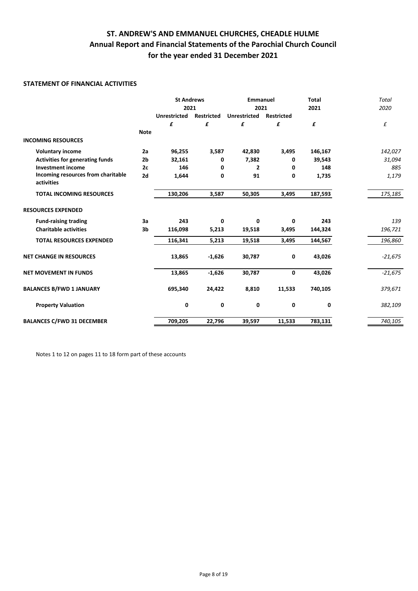## **STATEMENT OF FINANCIAL ACTIVITIES**

|                                                  |             | <b>St Andrews</b>   |                   | <b>Emmanuel</b>     |                   | <b>Total</b> | <b>Total</b> |
|--------------------------------------------------|-------------|---------------------|-------------------|---------------------|-------------------|--------------|--------------|
|                                                  |             | 2021                |                   | 2021                |                   | 2021         | 2020         |
|                                                  |             | <b>Unrestricted</b> | <b>Restricted</b> | <b>Unrestricted</b> | <b>Restricted</b> |              |              |
|                                                  |             | £                   | £                 | £                   | £                 | £            | £            |
|                                                  | <b>Note</b> |                     |                   |                     |                   |              |              |
| <b>INCOMING RESOURCES</b>                        |             |                     |                   |                     |                   |              |              |
| <b>Voluntary income</b>                          | 2a          | 96,255              | 3,587             | 42,830              | 3,495             | 146,167      | 142,027      |
| <b>Activities for generating funds</b>           | 2b          | 32,161              | 0                 | 7,382               | 0                 | 39,543       | 31,094       |
| <b>Investment income</b>                         | 2c          | 146                 | 0                 | $\mathbf{2}$        | 0                 | 148          | 885          |
| Incoming resources from charitable<br>activities | 2d          | 1,644               | 0                 | 91                  | 0                 | 1,735        | 1,179        |
| <b>TOTAL INCOMING RESOURCES</b>                  |             | 130,206             | 3,587             | 50,305              | 3,495             | 187,593      | 175,185      |
| <b>RESOURCES EXPENDED</b>                        |             |                     |                   |                     |                   |              |              |
| <b>Fund-raising trading</b>                      | 3a          | 243                 | 0                 | $\mathbf 0$         | 0                 | 243          | 139          |
| <b>Charitable activities</b>                     | 3b          | 116,098             | 5,213             | 19,518              | 3,495             | 144,324      | 196,721      |
| <b>TOTAL RESOURCES EXPENDED</b>                  |             | 116,341             | 5,213             | 19,518              | 3,495             | 144,567      | 196,860      |
| <b>NET CHANGE IN RESOURCES</b>                   |             | 13,865              | $-1,626$          | 30,787              | 0                 | 43,026       | $-21,675$    |
| <b>NET MOVEMENT IN FUNDS</b>                     |             | 13,865              | $-1,626$          | 30,787              | 0                 | 43,026       | $-21,675$    |
| <b>BALANCES B/FWD 1 JANUARY</b>                  |             | 695,340             | 24,422            | 8,810               | 11,533            | 740,105      | 379,671      |
| <b>Property Valuation</b>                        |             | 0                   | 0                 | 0                   | 0                 | 0            | 382,109      |
| <b>BALANCES C/FWD 31 DECEMBER</b>                |             | 709,205             | 22,796            | 39,597              | 11,533            | 783,131      | 740,105      |

Notes 1 to 12 on pages 11 to 18 form part of these accounts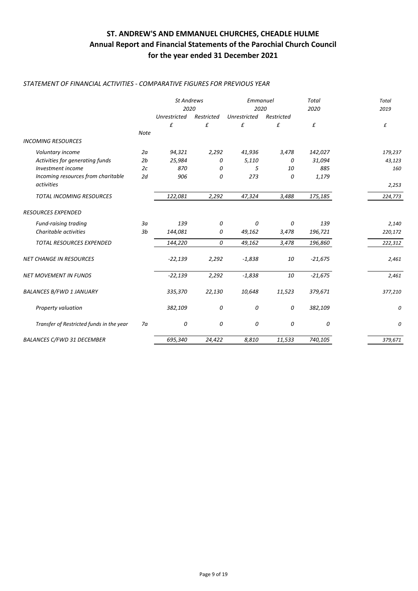## *STATEMENT OF FINANCIAL ACTIVITIES - COMPARATIVE FIGURES FOR PREVIOUS YEAR*

|                                          |                | <b>St Andrews</b><br>2020 |            | Emmanuel<br>2020 |            | <b>Total</b><br>2020 | <b>Total</b><br>2019 |
|------------------------------------------|----------------|---------------------------|------------|------------------|------------|----------------------|----------------------|
|                                          |                | <b>Unrestricted</b>       | Restricted | Unrestricted     | Restricted |                      |                      |
|                                          |                | £                         | £          | £                | £          | £                    | £                    |
| <b>INCOMING RESOURCES</b>                | <b>Note</b>    |                           |            |                  |            |                      |                      |
| Voluntary income                         | 2a             | 94,321                    | 2,292      | 41,936           | 3,478      | 142,027              | 179,237              |
| Activities for generating funds          | 2b             | 25,984                    | 0          | 5,110            | 0          | 31,094               | 43,123               |
| Investment income                        | 2c             | 870                       | 0          | 5                | 10         | 885                  | 160                  |
| Incoming resources from charitable       | 2d             | 906                       | 0          | 273              | 0          | 1,179                |                      |
| activities                               |                |                           |            |                  |            |                      | 2,253                |
| TOTAL INCOMING RESOURCES                 |                | 122,081                   | 2,292      | 47,324           | 3,488      | 175,185              | 224,773              |
| <b>RESOURCES EXPENDED</b>                |                |                           |            |                  |            |                      |                      |
| Fund-raising trading                     | За             | 139                       | 0          | 0                | 0          | 139                  | 2,140                |
| Charitable activities                    | 3 <sub>b</sub> | 144,081                   | 0          | 49,162           | 3,478      | 196,721              | 220,172              |
| TOTAL RESOURCES EXPENDED                 |                | 144,220                   | 0          | 49,162           | 3,478      | 196,860              | 222,312              |
| <b>NET CHANGE IN RESOURCES</b>           |                | $-22,139$                 | 2,292      | $-1,838$         | 10         | $-21,675$            | 2,461                |
| <b>NET MOVEMENT IN FUNDS</b>             |                | $-22,139$                 | 2,292      | $-1,838$         | 10         | $-21,675$            | 2,461                |
| <b>BALANCES B/FWD 1 JANUARY</b>          |                | 335,370                   | 22,130     | 10,648           | 11,523     | 379,671              | 377,210              |
| Property valuation                       |                | 382,109                   | 0          | 0                | 0          | 382,109              | 0                    |
| Transfer of Restricted funds in the year | 7a             | 0                         | 0          | 0                | 0          | 0                    | 0                    |
| <b>BALANCES C/FWD 31 DECEMBER</b>        |                | 695,340                   | 24,422     | 8,810            | 11,533     | 740,105              | 379,671              |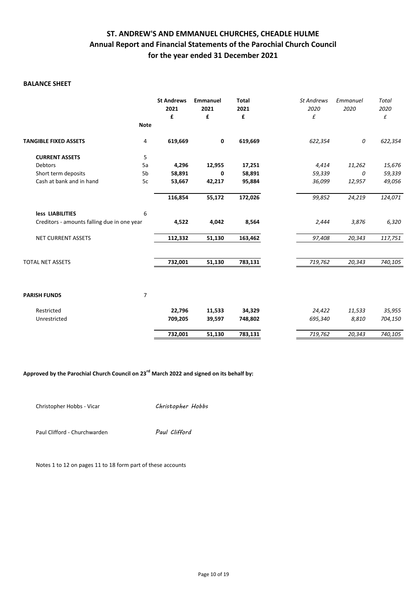## **BALANCE SHEET**

|                                             |                | <b>St Andrews</b><br>2021<br>£ | Emmanuel<br>2021<br>£ | <b>Total</b><br>2021<br>£ | <b>St Andrews</b><br>2020<br>£ | Emmanuel<br>2020 | <b>Total</b><br>2020<br>£ |
|---------------------------------------------|----------------|--------------------------------|-----------------------|---------------------------|--------------------------------|------------------|---------------------------|
|                                             | <b>Note</b>    |                                |                       |                           |                                |                  |                           |
| <b>TANGIBLE FIXED ASSETS</b>                | 4              | 619,669                        | 0                     | 619,669                   | 622,354                        | 0                | 622,354                   |
| <b>CURRENT ASSETS</b>                       | 5              |                                |                       |                           |                                |                  |                           |
| <b>Debtors</b>                              | 5a             | 4,296                          | 12,955                | 17,251                    | 4,414                          | 11,262           | 15,676                    |
| Short term deposits                         | 5b             | 58,891                         | 0                     | 58,891                    | 59,339                         | 0                | 59,339                    |
| Cash at bank and in hand                    | 5c             | 53,667                         | 42,217                | 95,884                    | 36,099                         | 12,957           | 49,056                    |
|                                             |                | 116,854                        | 55,172                | 172,026                   | 99,852                         | 24,219           | 124,071                   |
| less LIABILITIES                            | 6              |                                |                       |                           |                                |                  |                           |
| Creditors - amounts falling due in one year |                | 4,522                          | 4,042                 | 8,564                     | 2,444                          | 3,876            | 6,320                     |
| NET CURRENT ASSETS                          |                | 112,332                        | 51,130                | 163,462                   | 97,408                         | 20,343           | 117,751                   |
| <b>TOTAL NET ASSETS</b>                     |                | 732,001                        | 51,130                | 783,131                   | 719,762                        | 20,343           | 740,105                   |
|                                             |                |                                |                       |                           |                                |                  |                           |
| <b>PARISH FUNDS</b>                         | $\overline{7}$ |                                |                       |                           |                                |                  |                           |
| Restricted                                  |                | 22,796                         | 11,533                | 34,329                    | 24,422                         | 11,533           | 35,955                    |
| Unrestricted                                |                | 709,205                        | 39,597                | 748,802                   | 695,340                        | 8,810            | 704,150                   |
|                                             |                | 732,001                        | 51,130                | 783,131                   | 719,762                        | 20,343           | 740,105                   |

**Approved by the Parochial Church Council on 23rd March 2022 and signed on its behalf by:**

Christopher Hobbs - Vicar *Christopher Hobbs*

Paul Clifford - Churchwarden *Paul Clifford*

Notes 1 to 12 on pages 11 to 18 form part of these accounts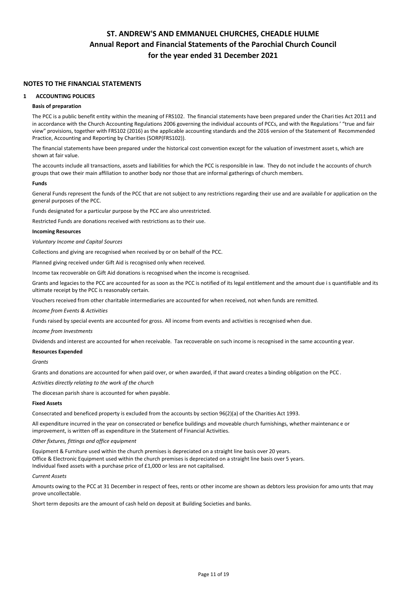### **NOTES TO THE FINANCIAL STATEMENTS**

#### **1 ACCOUNTING POLICIES**

#### **Basis of preparation**

The PCC is a public benefit entity within the meaning of FRS102. The financial statements have been prepared under the Charities Act 2011 and in accordance with the Church Accounting Regulations 2006 governing the individual accounts of PCCs, and with the Regulations' "true and fair view" provisions, together with FRS102 (2016) as the applicable accounting standards and the 2016 version of the Statement of Recommended Practice, Accounting and Reporting by Charities (SORP(FRS102)).

The financial statements have been prepared under the historical cost convention except for the valuation of investment assets, which are shown at fair value.

The accounts include all transactions, assets and liabilities for which the PCC is responsible in law. They do not include t he accounts of church groups that owe their main affiliation to another body nor those that are informal gatherings of church members.

#### **Funds**

General Funds represent the funds of the PCC that are not subject to any restrictions regarding their use and are available f or application on the general purposes of the PCC.

Funds designated for a particular purpose by the PCC are also unrestricted.

Restricted Funds are donations received with restrictions as to their use.

#### **Incoming Resources**

*Voluntary Income and Capital Sources*

Collections and giving are recognised when received by or on behalf of the PCC.

Planned giving received under Gift Aid is recognised only when received.

Income tax recoverable on Gift Aid donations is recognised when the income is recognised.

Grants and legacies to the PCC are accounted for as soon as the PCC is notified of its legal entitlement and the amount due is quantifiable and its ultimate receipt by the PCC is reasonably certain.

Vouchers received from other charitable intermediaries are accounted for when received, not when funds are remitted.

*Income from Events & Activities*

Funds raised by special events are accounted for gross. All income from events and activities is recognised when due.

*Income from Investments*

Dividends and interest are accounted for when receivable. Tax recoverable on such income is recognised in the same accountin g year.

#### **Resources Expended**

*Grants*

Grants and donations are accounted for when paid over, or when awarded, if that award creates a binding obligation on the PCC .

*Activities directly relating to the work of the church*

The diocesan parish share is accounted for when payable.

#### **Fixed Assets**

Consecrated and beneficed property is excluded from the accounts by section 96(2)(a) of the Charities Act 1993.

All expenditure incurred in the year on consecrated or benefice buildings and moveable church furnishings, whether maintenanc e or improvement, is written off as expenditure in the Statement of Financial Activities.

*Other fixtures, fittings and office equipment*

Equipment & Furniture used within the church premises is depreciated on a straight line basis over 20 years. Office & Electronic Equipment used within the church premises is depreciated on a straight line basis over 5 years. Individual fixed assets with a purchase price of £1,000 or less are not capitalised.

#### *Current Assets*

Amounts owing to the PCC at 31 December in respect of fees, rents or other income are shown as debtors less provision for amo unts that may prove uncollectable.

Short term deposits are the amount of cash held on deposit at Building Societies and banks.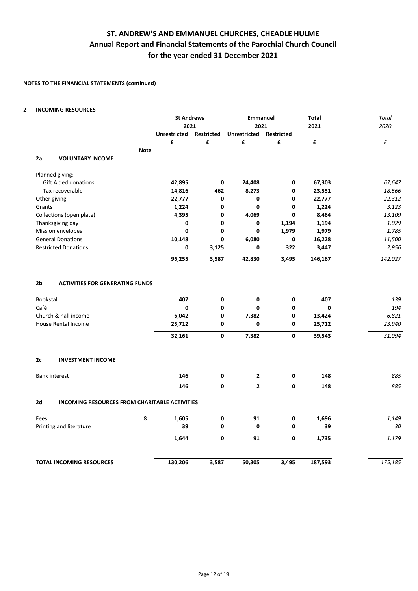## **NOTES TO THE FINANCIAL STATEMENTS (continued)**

### **2 INCOMING RESOURCES**

|                         |                                                                |             | <b>St Andrews</b>   |                   | Emmanuel        |                   | Total              | Total               |
|-------------------------|----------------------------------------------------------------|-------------|---------------------|-------------------|-----------------|-------------------|--------------------|---------------------|
|                         |                                                                |             | 2021                |                   | 2021            |                   | 2021               | 2020                |
|                         |                                                                |             | <b>Unrestricted</b> | <b>Restricted</b> | Unrestricted    | <b>Restricted</b> |                    |                     |
|                         |                                                                |             | £                   | £                 | £               | £                 | £                  | £                   |
|                         |                                                                | <b>Note</b> |                     |                   |                 |                   |                    |                     |
| 2a                      | <b>VOLUNTARY INCOME</b>                                        |             |                     |                   |                 |                   |                    |                     |
|                         | Planned giving:                                                |             |                     |                   |                 |                   |                    |                     |
|                         | <b>Gift Aided donations</b>                                    |             | 42,895              | 0                 | 24,408          | 0                 | 67,303             | 67,647              |
|                         | Tax recoverable                                                |             | 14,816              | 462               | 8,273           | 0                 | 23,551             | 18,566              |
| Other giving            |                                                                |             | 22,777              | 0                 | 0               | 0                 | 22,777             | 22,312              |
| Grants                  |                                                                |             | 1,224               | 0                 | 0               | 0                 | 1,224              | 3,123               |
|                         | Collections (open plate)                                       |             | 4,395               | $\mathbf{0}$      | 4,069           | $\mathbf{0}$      | 8,464              | 13,109              |
|                         | Thanksgiving day                                               |             | 0                   | 0                 | 0               | 1,194             | 1,194              | 1,029               |
|                         | Mission envelopes                                              |             | 0                   | $\mathbf 0$       | 0               | 1,979             | 1,979              | 1,785               |
|                         | <b>General Donations</b>                                       |             | 10,148              | 0                 | 6,080           | 0                 | 16,228             | 11,500              |
|                         | <b>Restricted Donations</b>                                    |             | 0                   | 3,125             | 0               | 322               | 3,447              | 2,956               |
|                         |                                                                |             | 96,255              | 3,587             | 42,830          | 3,495             | 146,167            | 142,027             |
| 2b<br>Bookstall<br>Café | <b>ACTIVITIES FOR GENERATING FUNDS</b><br>Church & hall income |             | 407<br>0<br>6,042   | 0<br>0<br>0       | 0<br>0<br>7,382 | 0<br>0<br>0       | 407<br>0<br>13,424 | 139<br>194<br>6,821 |
|                         | <b>House Rental Income</b>                                     |             | 25,712              | 0                 | 0               | 0                 | 25,712             | 23,940              |
|                         |                                                                |             | 32,161              | $\mathbf 0$       | 7,382           | 0                 | 39,543             | 31,094              |
| 2c                      | <b>INVESTMENT INCOME</b>                                       |             |                     |                   |                 |                   |                    |                     |
|                         | <b>Bank interest</b>                                           |             | 146                 | 0                 | $\mathbf{2}$    | 0                 | 148                | 885                 |
|                         |                                                                |             | 146                 | $\mathbf 0$       | $\overline{2}$  | $\mathbf{0}$      | 148                | 885                 |
| 2d                      | <b>INCOMING RESOURCES FROM CHARITABLE ACTIVITIES</b>           |             |                     |                   |                 |                   |                    |                     |
| Fees                    |                                                                | 8           | 1,605               | 0                 | 91              | 0                 | 1,696              | 1,149               |
|                         | Printing and literature                                        |             | 39                  | 0                 | 0               | 0                 | 39                 | 30                  |
|                         |                                                                |             | 1,644               | 0                 | 91              | 0                 | 1,735              | 1,179               |
|                         | <b>TOTAL INCOMING RESOURCES</b>                                |             | 130,206             | 3,587             | 50,305          | 3,495             | 187,593            | 175,185             |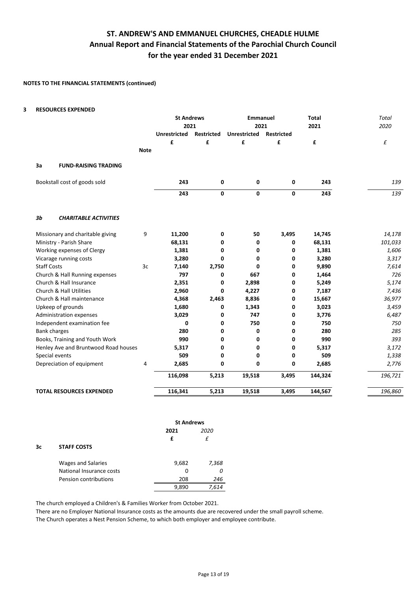### **NOTES TO THE FINANCIAL STATEMENTS (continued)**

#### **3 RESOURCES EXPENDED**

|                                                |                     | <b>St Andrews</b><br>2021 | <b>Emmanuel</b><br>2021 |                   | <b>Total</b><br>2021 | <b>Total</b><br>2020 |
|------------------------------------------------|---------------------|---------------------------|-------------------------|-------------------|----------------------|----------------------|
|                                                | <b>Unrestricted</b> | <b>Restricted</b>         | <b>Unrestricted</b>     | <b>Restricted</b> |                      |                      |
|                                                | £                   | £                         | £                       | £                 | £                    | £                    |
|                                                | <b>Note</b>         |                           |                         |                   |                      |                      |
| 3a<br><b>FUND-RAISING TRADING</b>              |                     |                           |                         |                   |                      |                      |
| Bookstall cost of goods sold                   | 243                 | 0                         | 0                       | 0                 | 243                  | 139                  |
|                                                | 243                 | 0                         | 0                       | $\mathbf{0}$      | 243                  | 139                  |
| 3 <sub>b</sub><br><b>CHARITABLE ACTIVITIES</b> |                     |                           |                         |                   |                      |                      |
| Missionary and charitable giving               | 9<br>11,200         | 0                         | 50                      | 3,495             | 14,745               | 14,178               |
| Ministry - Parish Share                        | 68,131              | 0                         | 0                       | 0                 | 68,131               | 101,033              |
| Working expenses of Clergy                     | 1,381               | 0                         | 0                       | 0                 | 1,381                | 1,606                |
| Vicarage running costs                         | 3,280               | 0                         | 0                       | 0                 | 3,280                | 3,317                |
| <b>Staff Costs</b>                             | 3c<br>7,140         | 2,750                     | $\mathbf{0}$            | 0                 | 9,890                | 7,614                |
| Church & Hall Running expenses                 | 797                 | 0                         | 667                     | 0                 | 1,464                | 726                  |
| Church & Hall Insurance                        | 2,351               | 0                         | 2,898                   | 0                 | 5,249                | 5,174                |
| Church & Hall Utilities                        | 2,960               | 0                         | 4,227                   | 0                 | 7,187                | 7,436                |
| Church & Hall maintenance                      | 4,368               | 2,463                     | 8,836                   | 0                 | 15,667               | 36,977               |
| Upkeep of grounds                              | 1,680               | 0                         | 1,343                   | 0                 | 3,023                | 3,459                |
| Administration expenses                        | 3,029               | 0                         | 747                     | 0                 | 3,776                | 6,487                |
| Independent examination fee                    |                     | 0<br>0                    | 750                     | 0                 | 750                  | 750                  |
| <b>Bank charges</b>                            | 280                 | 0                         | 0                       | 0                 | 280                  | 285                  |
| Books, Training and Youth Work                 | 990                 | 0                         | 0                       | 0                 | 990                  | 393                  |
| Henley Ave and Bruntwood Road houses           | 5,317               | 0                         | 0                       | 0                 | 5,317                | 3,172                |
| Special events                                 | 509                 | 0                         | 0                       | 0                 | 509                  | 1,338                |
| Depreciation of equipment                      | 2,685<br>4          | 0                         | 0                       | 0                 | 2,685                | 2,776                |
|                                                | 116,098             | 5,213                     | 19,518                  | 3,495             | 144,324              | 196,721              |
| <b>TOTAL RESOURCES EXPENDED</b>                | 116,341             | 5,213                     | 19,518                  | 3,495             | 144,567              | 196,860              |

|    |                           | <b>St Andrews</b> |       |
|----|---------------------------|-------------------|-------|
|    |                           | 2021              | 2020  |
|    |                           | £                 | £     |
| 3c | <b>STAFF COSTS</b>        |                   |       |
|    | <b>Wages and Salaries</b> | 9,682             | 7,368 |
|    | National Insurance costs  | 0                 | 0     |
|    | Pension contributions     | 208               | 246   |
|    |                           | 9,890             | 7.614 |

The church employed a Children's & Families Worker from October 2021.

There are no Employer National Insurance costs as the amounts due are recovered under the small payroll scheme. The Church operates a Nest Pension Scheme, to which both employer and employee contribute.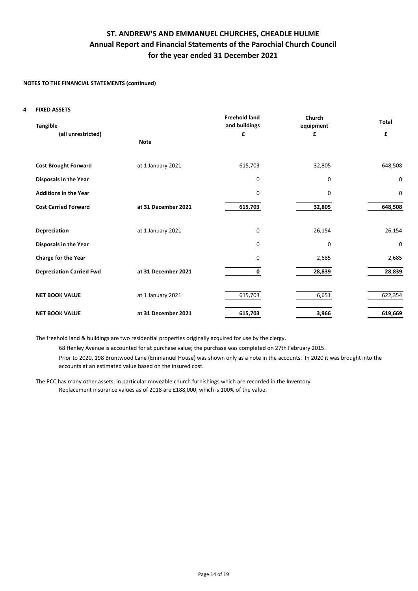### **NOTES TO THE FINANCIAL STATEMENTS (continued)**

#### **4 FIXED ASSETS**

| <b>Tangible</b>                 |                     | <b>Freehold land</b><br>and buildings | Church<br>equipment | <b>Total</b> |
|---------------------------------|---------------------|---------------------------------------|---------------------|--------------|
| (all unrestricted)              | <b>Note</b>         | £                                     | £                   | £            |
|                                 |                     |                                       |                     |              |
| <b>Cost Brought Forward</b>     | at 1 January 2021   | 615,703                               | 32,805              | 648,508      |
| Disposals in the Year           |                     | 0                                     | 0                   | 0            |
| <b>Additions in the Year</b>    |                     | 0                                     | 0                   | 0            |
| <b>Cost Carried Forward</b>     | at 31 December 2021 | 615,703                               | 32,805              | 648,508      |
|                                 |                     |                                       |                     |              |
| <b>Depreciation</b>             | at 1 January 2021   | 0                                     | 26,154              | 26,154       |
| Disposals in the Year           |                     | $\mathbf 0$                           | $\mathbf 0$         | 0            |
| <b>Charge for the Year</b>      |                     | 0                                     | 2,685               | 2,685        |
| <b>Depreciation Carried Fwd</b> | at 31 December 2021 | 0                                     | 28,839              | 28,839       |
|                                 |                     |                                       |                     |              |
| <b>NET BOOK VALUE</b>           | at 1 January 2021   | 615,703                               | 6,651               | 622,354      |
| <b>NET BOOK VALUE</b>           | at 31 December 2021 | 615,703                               | 3,966               | 619,669      |

The freehold land & buildings are two residential properties originally acquired for use by the clergy.

68 Henley Avenue is accounted for at purchase value; the purchase was completed on 27th February 2015.

Prior to 2020, 198 Bruntwood Lane (Emmanuel House) was shown only as a note in the accounts. In 2020 it was brought into the accounts at an estimated value based on the insured cost.

Replacement insurance values as of 2018 are £188,000, which is 100% of the value. The PCC has many other assets, in particular moveable church furnishings which are recorded in the Inventory.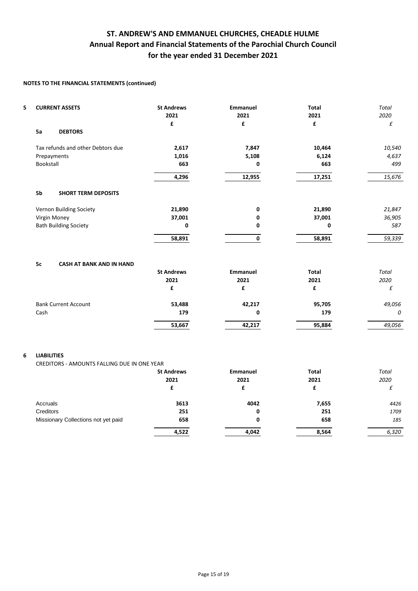## **NOTES TO THE FINANCIAL STATEMENTS (continued)**

| 5 | <b>CURRENT ASSETS</b>                                             | <b>St Andrews</b><br>2021<br>£ | <b>Emmanuel</b><br>2021<br>£ | <b>Total</b><br>2021<br>£           | Total<br>2020<br>£        |
|---|-------------------------------------------------------------------|--------------------------------|------------------------------|-------------------------------------|---------------------------|
|   | 5a<br><b>DEBTORS</b>                                              |                                |                              |                                     |                           |
|   | Tax refunds and other Debtors due                                 | 2,617                          | 7,847                        | 10,464                              | 10,540                    |
|   | Prepayments                                                       | 1,016                          | 5,108                        | 6,124                               | 4,637                     |
|   | Bookstall                                                         | 663                            | 0                            | 663                                 | 499                       |
|   |                                                                   | 4,296                          | 12,955                       | 17,251                              | 15,676                    |
|   | 5b<br><b>SHORT TERM DEPOSITS</b>                                  |                                |                              |                                     |                           |
|   | Vernon Building Society                                           | 21,890                         | 0                            | 21,890                              | 21,847                    |
|   | Virgin Money                                                      | 37,001                         | 0                            | 37,001                              | 36,905                    |
|   | <b>Bath Building Society</b>                                      | 0                              | 0                            | 0                                   | 587                       |
|   |                                                                   | 58,891                         | 0                            | 58,891                              | 59,339                    |
|   | 5c<br><b>CASH AT BANK AND IN HAND</b>                             | <b>St Andrews</b><br>2021<br>£ | <b>Emmanuel</b><br>2021<br>£ | <b>Total</b><br>2021<br>£           | <b>Total</b><br>2020<br>£ |
|   | <b>Bank Current Account</b>                                       | 53,488                         | 42,217                       | 95,705                              | 49,056                    |
|   | Cash                                                              | 179                            | 0                            | 179                                 | 0                         |
|   |                                                                   | 53,667                         | 42,217                       | 95,884                              | 49,056                    |
| 6 | <b>LIABILITIES</b><br>CREDITORS - AMOUNTS FALLING DUE IN ONE YEAR | <b>St Andrews</b><br>2021<br>£ | <b>Emmanuel</b><br>2021      | <b>Total</b><br>2021<br>$\mathbf f$ | Total<br>2020             |
|   |                                                                   |                                | £                            |                                     | £                         |
|   | Accruals                                                          | 3613                           | 4042                         | 7,655                               | 4426                      |
|   | Creditors                                                         | 251                            | 0                            | 251                                 | 1709                      |
|   | Missionary Collections not yet paid                               | 658                            | 0                            | 658                                 | 185                       |
|   |                                                                   | 4,522                          | 4,042                        | 8,564                               | 6,320                     |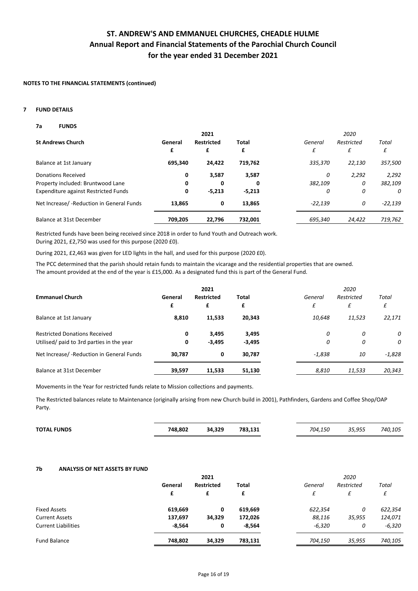## **NOTES TO THE FINANCIAL STATEMENTS (continued)**

#### **7 FUND DETAILS**

#### **7a FUNDS**

|                                             |         | 2021              |              |           | 2020       |           |
|---------------------------------------------|---------|-------------------|--------------|-----------|------------|-----------|
| <b>St Andrews Church</b>                    | General | <b>Restricted</b> | <b>Total</b> | General   | Restricted | Total     |
|                                             | £       | £                 | £            | £         | £          |           |
| Balance at 1st January                      | 695,340 | 24,422            | 719,762      | 335,370   | 22,130     | 357,500   |
| Donations Received                          | 0       | 3,587             | 3,587        | 0         | 2,292      | 2,292     |
| Property included: Bruntwood Lane           | 0       | 0                 | 0            | 382,109   | 0          | 382,109   |
| <b>Expenditure against Restricted Funds</b> | 0       | $-5,213$          | $-5,213$     | 0         | 0          | 0         |
| Net Increase/ - Reduction in General Funds  | 13,865  | 0                 | 13.865       | $-22.139$ | 0          | $-22,139$ |
| Balance at 31st December                    | 709.205 | 22.796            | 732,001      | 695,340   | 24,422     | 719,762   |

Restricted funds have been being received since 2018 in order to fund Youth and Outreach work. During 2021, £2,750 was used for this purpose (2020 £0).

During 2021, £2,463 was given for LED lights in the hall, and used for this purpose (2020 £0).

The PCC determined that the parish should retain funds to maintain the vicarage and the residential properties that are owned. The amount provided at the end of the year is £15,000. As a designated fund this is part of the General Fund.

|                                            |         | 2021              |          |          | 2020       |          |  |  |
|--------------------------------------------|---------|-------------------|----------|----------|------------|----------|--|--|
| <b>Emmanuel Church</b>                     | General | <b>Restricted</b> | Total    | General  | Restricted | Total    |  |  |
|                                            | £       | £                 | £        | £        | £          | £        |  |  |
| Balance at 1st January                     | 8,810   | 11,533            | 20,343   | 10,648   | 11,523     | 22,171   |  |  |
| <b>Restricted Donations Received</b>       | 0       | 3,495             | 3,495    | 0        | 0          | 0        |  |  |
| Utilised/ paid to 3rd parties in the year  | 0       | $-3,495$          | $-3,495$ | 0        | 0          | 0        |  |  |
| Net Increase/ - Reduction in General Funds | 30,787  | 0                 | 30,787   | $-1,838$ | 10         | $-1,828$ |  |  |
| Balance at 31st December                   | 39,597  | 11,533            | 51,130   | 8,810    | 11,533     | 20,343   |  |  |

Movements in the Year for restricted funds relate to Mission collections and payments.

The Restricted balances relate to Maintenance (originally arising from new Church build in 2001), Pathfinders, Gardens and Coffee Shop/OAP Party.

| <b>TOTAL FUNDS</b> | 748,802 | 34,329 | 783,131 | 704.150 | 35,955 | 740,105 |
|--------------------|---------|--------|---------|---------|--------|---------|
|                    |         |        |         |         |        |         |

#### **7b ANALYSIS OF NET ASSETS BY FUND**

|          | 2021              |          |          | 2020       |          |
|----------|-------------------|----------|----------|------------|----------|
| General  | <b>Restricted</b> | Total    | General  | Restricted | Total    |
| £        | £                 | £        | £        | £          | £        |
| 619,669  | 0                 | 619,669  | 622,354  | 0          | 622,354  |
| 137,697  | 34,329            | 172,026  | 88,116   | 35,955     | 124,071  |
| $-8,564$ | 0                 | $-8,564$ | $-6,320$ | 0          | $-6,320$ |
| 748,802  | 34,329            | 783,131  | 704,150  | 35,955     | 740,105  |
|          |                   |          |          |            |          |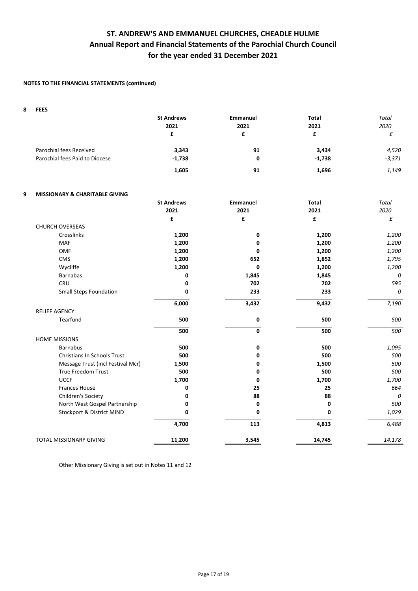### **NOTES TO THE FINANCIAL STATEMENTS (continued)**

| 8 | <b>FEES</b>                    |                   |                 |              |          |
|---|--------------------------------|-------------------|-----------------|--------------|----------|
|   |                                | <b>St Andrews</b> | <b>Emmanuel</b> | <b>Total</b> | Total    |
|   |                                | 2021              | 2021            | 2021         | 2020     |
|   |                                |                   |                 |              |          |
|   | Parochial fees Received        | 3,343             | 91              | 3,434        | 4,520    |
|   | Parochial fees Paid to Diocese | $-1,738$          | 0               | $-1,738$     | $-3,371$ |
|   |                                | 1,605             | 91              | 1,696        | 1,149    |

### **9 MISSIONARY & CHARITABLE GIVING**

|                                    | <b>St Andrews</b> | <b>Emmanuel</b> | <b>Total</b> | <b>Total</b> |
|------------------------------------|-------------------|-----------------|--------------|--------------|
|                                    | 2021              | 2021            | 2021         | 2020         |
|                                    | £                 | £               | £            | £            |
| <b>CHURCH OVERSEAS</b>             |                   |                 |              |              |
| Crosslinks                         | 1,200             | 0               | 1,200        | 1,200        |
| <b>MAF</b>                         | 1,200             | 0               | 1,200        | 1,200        |
| <b>OMF</b>                         | 1,200             | 0               | 1,200        | 1,200        |
| <b>CMS</b>                         | 1,200             | 652             | 1,852        | 1,795        |
| Wycliffe                           | 1,200             | 0               | 1,200        | 1,200        |
| <b>Barnabas</b>                    | 0                 | 1,845           | 1,845        | 0            |
| CRU                                | 0                 | 702             | 702          | 595          |
| <b>Small Steps Foundation</b>      | 0                 | 233             | 233          | 0            |
|                                    | 6,000             | 3,432           | 9,432        | 7,190        |
| <b>RELIEF AGENCY</b>               |                   |                 |              |              |
| Tearfund                           | 500               | 0               | 500          | 500          |
|                                    | 500               | 0               | 500          | 500          |
| <b>HOME MISSIONS</b>               |                   |                 |              |              |
| <b>Barnabus</b>                    | 500               | 0               | 500          | 1,095        |
| <b>Christians In Schools Trust</b> | 500               | 0               | 500          | 500          |
| Message Trust (incl Festival Mcr)  | 1,500             | 0               | 1,500        | 500          |
| True Freedom Trust                 | 500               | 0               | 500          | 500          |
| <b>UCCF</b>                        | 1,700             | 0               | 1,700        | 1,700        |
| <b>Frances House</b>               | 0                 | 25              | 25           | 664          |
| Children's Society                 | 0                 | 88              | 88           | 0            |
| North West Gospel Partnership      | 0                 | 0               | 0            | 500          |
| Stockport & District MIND          | 0                 | 0               | 0            | 1,029        |
|                                    | 4,700             | 113             | 4,813        | 6,488        |
| TOTAL MISSIONARY GIVING            | 11,200            | 3,545           | 14,745       | 14,178       |

Other Missionary Giving is set out in Notes 11 and 12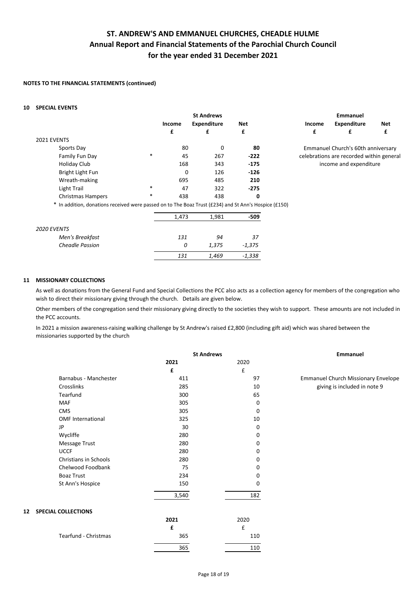## **NOTES TO THE FINANCIAL STATEMENTS (continued)**

### **10 SPECIAL EVENTS**

|                                                                                                       |        | <b>St Andrews</b> |                    |          | Emmanuel |               |                                          |     |
|-------------------------------------------------------------------------------------------------------|--------|-------------------|--------------------|----------|----------|---------------|------------------------------------------|-----|
|                                                                                                       |        | Income            | <b>Expenditure</b> | Net      |          | <b>Income</b> | <b>Expenditure</b>                       | Net |
|                                                                                                       |        | £                 | £                  | £        |          | £             | £                                        | £   |
| 2021 EVENTS                                                                                           |        |                   |                    |          |          |               |                                          |     |
| Sports Day                                                                                            |        | 80                | 0                  | 80       |          |               | Emmanuel Church's 60th anniversary       |     |
| Family Fun Day                                                                                        | $\ast$ | 45                | 267                | $-222$   |          |               | celebrations are recorded within general |     |
| <b>Holiday Club</b>                                                                                   |        | 168               | 343                | $-175$   |          |               | income and expenditure                   |     |
| Bright Light Fun                                                                                      |        | 0                 | 126                | $-126$   |          |               |                                          |     |
| Wreath-making                                                                                         |        | 695               | 485                | 210      |          |               |                                          |     |
| Light Trail                                                                                           | $\ast$ | 47                | 322                | $-275$   |          |               |                                          |     |
| <b>Christmas Hampers</b>                                                                              | *      | 438               | 438                | 0        |          |               |                                          |     |
| * In addition, donations received were passed on to The Boaz Trust (£234) and St Ann's Hospice (£150) |        |                   |                    |          |          |               |                                          |     |
|                                                                                                       |        | 1,473             | 1,981              | $-509$   |          |               |                                          |     |
| 2020 EVENTS                                                                                           |        |                   |                    |          |          |               |                                          |     |
| Men's Breakfast                                                                                       |        | 131               | 94                 | 37       |          |               |                                          |     |
| <b>Cheadle Passion</b>                                                                                |        | 0                 | 1,375              | $-1,375$ |          |               |                                          |     |

#### **11 MISSIONARY COLLECTIONS**

As well as donations from the General Fund and Special Collections the PCC also acts as a collection agency for members of the congregation who wish to direct their missionary giving through the church. Details are given below.

*131 1,469 -1,338*

Other members of the congregation send their missionary giving directly to the societies they wish to support. These amounts are not included in the PCC accounts.

In 2021 a mission awareness-raising walking challenge by St Andrew's raised £2,800 (including gift aid) which was shared between the missionaries supported by the church

|                                                 | <b>St Andrews</b> |                    | Emmanuel                                   |  |
|-------------------------------------------------|-------------------|--------------------|--------------------------------------------|--|
|                                                 | 2021              | 2020               |                                            |  |
|                                                 | £                 | $\pmb{\mathsf{f}}$ |                                            |  |
| Barnabus - Manchester                           | 411               | 97                 | <b>Emmanuel Church Missionary Envelope</b> |  |
| Crosslinks                                      | 285               | 10                 | giving is included in note 9               |  |
| Tearfund                                        | 300               | 65                 |                                            |  |
| MAF                                             | 305               | 0                  |                                            |  |
| <b>CMS</b>                                      | 305               | 0                  |                                            |  |
| <b>OMF International</b>                        | 325               | 10                 |                                            |  |
| <b>JP</b>                                       | 30                | 0                  |                                            |  |
| Wycliffe                                        | 280               | 0                  |                                            |  |
| Message Trust                                   | 280               | 0                  |                                            |  |
| <b>UCCF</b>                                     | 280               | 0                  |                                            |  |
| Christians in Schools                           | 280               | 0                  |                                            |  |
| Chelwood Foodbank                               | 75                | 0                  |                                            |  |
| <b>Boaz Trust</b>                               | 234               | 0                  |                                            |  |
| St Ann's Hospice                                | 150               | 0                  |                                            |  |
|                                                 | 3,540             | 182                |                                            |  |
| <b>SPECIAL COLLECTIONS</b><br>$12 \overline{ }$ |                   |                    |                                            |  |
|                                                 | 2021              | 2020               |                                            |  |
|                                                 | £                 | £                  |                                            |  |
| Tearfund - Christmas                            | 365               | 110                |                                            |  |
|                                                 | 365               | 110                |                                            |  |